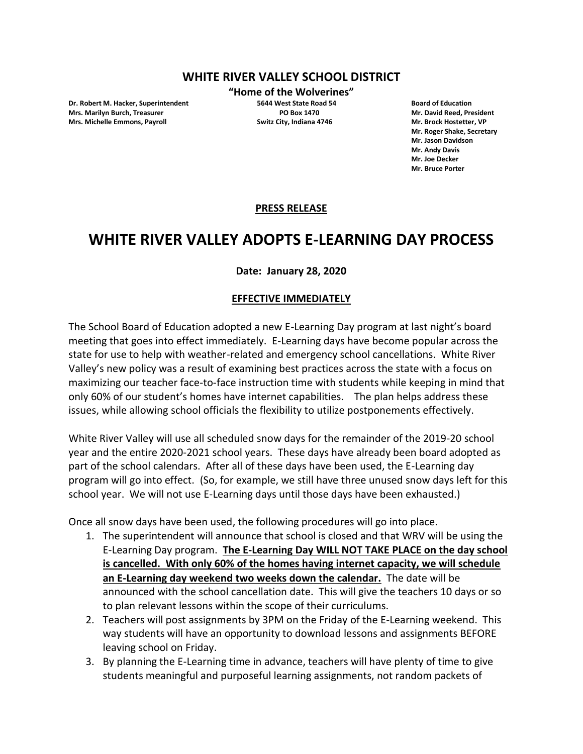## **WHITE RIVER VALLEY SCHOOL DISTRICT**

**Dr. Robert M. Hacker, Superintendent 5644 West State Road 54 Board of Education Mrs. Marilyn Burch, Treasurer PO Box 1470 Mr. David Reed, President Mrs. Michelle Emmons, Payroll Switz City, Indiana 4746 Mr. Brock Hostetter, VP**

**"Home of the Wolverines"**

**Mr. Roger Shake, Secretary Mr. Jason Davidson Mr. Andy Davis Mr. Joe Decker Mr. Bruce Porter**

### **PRESS RELEASE**

# **WHITE RIVER VALLEY ADOPTS E-LEARNING DAY PROCESS**

### **Date: January 28, 2020**

#### **EFFECTIVE IMMEDIATELY**

The School Board of Education adopted a new E-Learning Day program at last night's board meeting that goes into effect immediately. E-Learning days have become popular across the state for use to help with weather-related and emergency school cancellations. White River Valley's new policy was a result of examining best practices across the state with a focus on maximizing our teacher face-to-face instruction time with students while keeping in mind that only 60% of our student's homes have internet capabilities. The plan helps address these issues, while allowing school officials the flexibility to utilize postponements effectively.

White River Valley will use all scheduled snow days for the remainder of the 2019-20 school year and the entire 2020-2021 school years. These days have already been board adopted as part of the school calendars. After all of these days have been used, the E-Learning day program will go into effect. (So, for example, we still have three unused snow days left for this school year. We will not use E-Learning days until those days have been exhausted.)

Once all snow days have been used, the following procedures will go into place.

- 1. The superintendent will announce that school is closed and that WRV will be using the E-Learning Day program. **The E-Learning Day WILL NOT TAKE PLACE on the day school is cancelled. With only 60% of the homes having internet capacity, we will schedule an E-Learning day weekend two weeks down the calendar.** The date will be announced with the school cancellation date. This will give the teachers 10 days or so to plan relevant lessons within the scope of their curriculums.
- 2. Teachers will post assignments by 3PM on the Friday of the E-Learning weekend. This way students will have an opportunity to download lessons and assignments BEFORE leaving school on Friday.
- 3. By planning the E-Learning time in advance, teachers will have plenty of time to give students meaningful and purposeful learning assignments, not random packets of